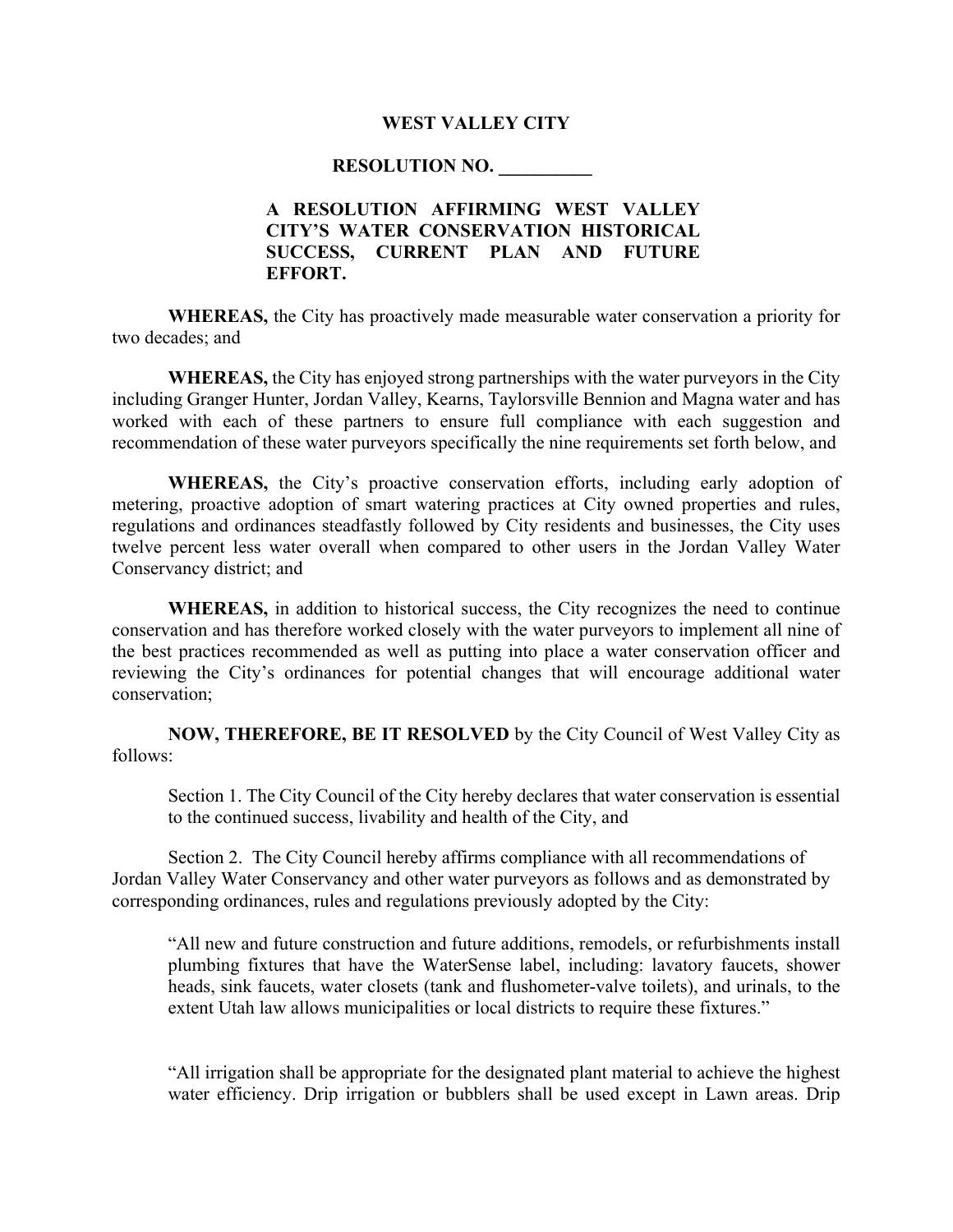## **WEST VALLEY CITY**

## **RESOLUTION NO. \_\_\_\_\_\_\_\_\_\_**

## **A RESOLUTION AFFIRMING WEST VALLEY CITY'S WATER CONSERVATION HISTORICAL SUCCESS, CURRENT PLAN AND FUTURE EFFORT.**

**WHEREAS,** the City has proactively made measurable water conservation a priority for two decades; and

**WHEREAS,** the City has enjoyed strong partnerships with the water purveyors in the City including Granger Hunter, Jordan Valley, Kearns, Taylorsville Bennion and Magna water and has worked with each of these partners to ensure full compliance with each suggestion and recommendation of these water purveyors specifically the nine requirements set forth below, and

**WHEREAS,** the City's proactive conservation efforts, including early adoption of metering, proactive adoption of smart watering practices at City owned properties and rules, regulations and ordinances steadfastly followed by City residents and businesses, the City uses twelve percent less water overall when compared to other users in the Jordan Valley Water Conservancy district; and

**WHEREAS,** in addition to historical success, the City recognizes the need to continue conservation and has therefore worked closely with the water purveyors to implement all nine of the best practices recommended as well as putting into place a water conservation officer and reviewing the City's ordinances for potential changes that will encourage additional water conservation;

**NOW, THEREFORE, BE IT RESOLVED** by the City Council of West Valley City as follows:

Section 1. The City Council of the City hereby declares that water conservation is essential to the continued success, livability and health of the City, and

Section 2. The City Council hereby affirms compliance with all recommendations of Jordan Valley Water Conservancy and other water purveyors as follows and as demonstrated by corresponding ordinances, rules and regulations previously adopted by the City:

"All new and future construction and future additions, remodels, or refurbishments install plumbing fixtures that have the WaterSense label, including: lavatory faucets, shower heads, sink faucets, water closets (tank and flushometer-valve toilets), and urinals, to the extent Utah law allows municipalities or local districts to require these fixtures."

"All irrigation shall be appropriate for the designated plant material to achieve the highest water efficiency. Drip irrigation or bubblers shall be used except in Lawn areas. Drip